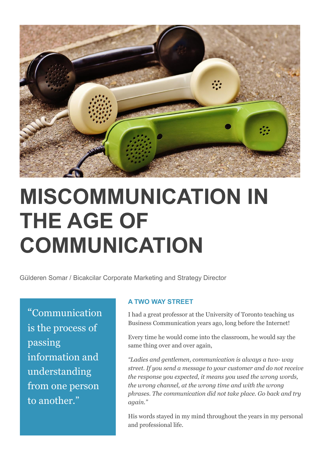

# **MISCOMMUNICATION IN THE AGE OF COMMUNICATION**

Gülderen Somar / Bicakcilar Corporate Marketing and Strategy Director

"Communication is the process of passing information and understanding from one person to another."

### **A TWO WAY STREET**

I had a great professor at the University of Toronto teaching us Business Communication years ago, long before the Internet!

Every time he would come into the classroom, he would say the same thing over and over again,

*"Ladies and gentlemen, communication is always a two- way street. If you send a message to your customer and do not receive the response you expected, it means you used the wrong words, the wrong channel, at the wrong time and with the wrong phrases. The communication did not take place. Go back and try again."*

His words stayed in my mind throughout the years in my personal and professional life.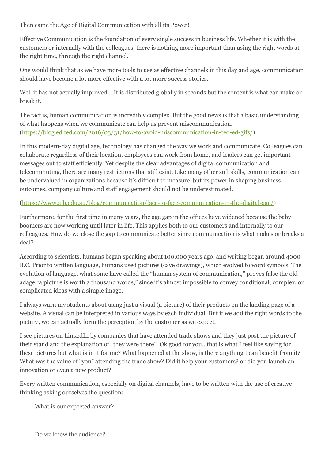Then came the Age of Digital Communication with all its Power!

Effective Communication is the foundation of every single success in business life. Whether it is with the customers or internally with the colleagues, there is nothing more important than using the right words at the right time, through the right channel.

One would think that as we have more tools to use as effective channels in this day and age, communication should have become a lot more effective with a lot more success stories.

Well it has not actually improved….It is distributed globally in seconds but the content is what can make or break it.

The fact is, human communication is incredibly complex. But the good news is that a basic understanding of what happens when we communicate can help us prevent miscommunication. [\(https://blog.ed.ted.com/2016/03/31/how-to-avoid-miscommunication-in-ted-ed-gifs/\)](https://blog.ed.ted.com/2016/03/31/how-to-avoid-miscommunication-in-ted-ed-gifs/)

In this modern-day digital age, technology has changed the way we work and communicate. Colleagues can collaborate regardless of their location, employees can work from home, and leaders can get important messages out to staff efficiently. Yet despite the clear advantages of digital communication and telecommuting, there are many restrictions that still exist. Like many other soft skills, communication can be undervalued in organizations because it's difficult to measure, but its power in shaping business outcomes, company culture and staff engagement should not be underestimated.

### [\(https://www.aib.edu.au/blog/communication/face-to-face-communication-in-the-digital-age/\)](https://www.aib.edu.au/blog/communication/face-to-face-communication-in-the-digital-age/)

Furthermore, for the first time in many years, the age gap in the offices have widened because the baby boomers are now working until later in life. This applies both to our customers and internally to our colleagues. How do we close the gap to communicate better since communication is what makes or breaks a deal?

According to scientists, humans began speaking about 100,000 years ago, and writing began around 4000 B.C. Prior to written language, humans used pictures (cave drawings), which evolved to word symbols. The evolution of language, what some have called the "human system of communication," proves false the old adage "a picture is worth a thousand words," since it's almost impossible to convey conditional, complex, or complicated ideas with a simple image.

I always warn my students about using just a visual (a picture) of their products on the landing page of a website. A visual can be interpreted in various ways by each individual. But if we add the right words to the picture, we can actually form the perception by the customer as we expect.

I see pictures on LinkedIn by companies that have attended trade shows and they just post the picture of their stand and the explanation of "they were there". Ok good for you…that is what I feel like saying for these pictures but what is in it for me? What happened at the show, is there anything I can benefit from it? What was the value of "you" attending the trade show? Did it help your customers? or did you launch an innovation or even a new product?

Every written communication, especially on digital channels, have to be written with the use of creative thinking asking ourselves the question:

What is our expected answer?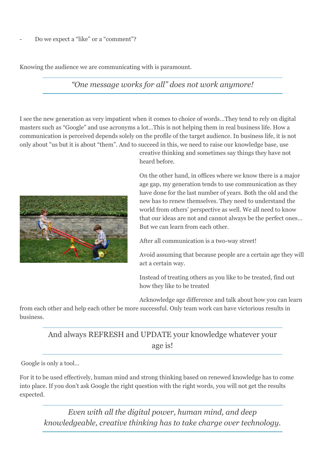Knowing the audience we are communicating with is paramount.

# *"One message works for all" does not work anymore!*

I see the new generation as very impatient when it comes to choice of words…They tend to rely on digital masters such as "Google" and use acronyms a lot…This is not helping them in real business life. How a communication is perceived depends solely on the profile of the target audience. In business life, it is not only about "us but it is about "them". And to succeed in this, we need to raise our knowledge base, use



creative thinking and sometimes say things they have not heard before.

On the other hand, in offices where we know there is a major age gap, my generation tends to use communication as they have done for the last number of years. Both the old and the new has to renew themselves. They need to understand the world from others' perspective as well. We all need to know that our ideas are not and cannot always be the perfect ones… But we can learn from each other.

After all communication is a two-way street!

Avoid assuming that because people are a certain age they will act a certain way.

Instead of treating others as you like to be treated, find out how they like to be treated

Acknowledge age difference and talk about how you can learn

from each other and help each other be more successful. Only team work can have victorious results in business.

# And always REFRESH and UPDATE your knowledge whatever your age is!

Google is only a tool…

For it to be used effectively, human mind and strong thinking based on renewed knowledge has to come into place. If you don't ask Google the right question with the right words, you will not get the results expected.

*Even with all the digital power, human mind, and deep knowledgeable, creative thinking has to take charge over technology.*